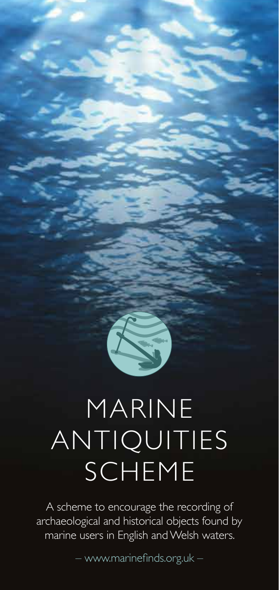# MARINE ANTIQUITIES SCHEME

A scheme to encourage the recording of archaeological and historical objects found by marine users in English and Welsh waters.

– www.marinefinds.org.uk –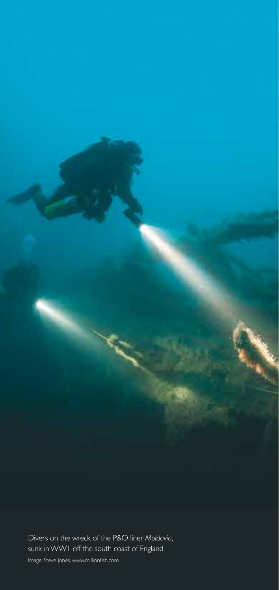

Divers on the wreck of the P&O liner *Moldavia*, sunk in WW1 off the south coast of England

Image: Steve Jones, www.millionfish.com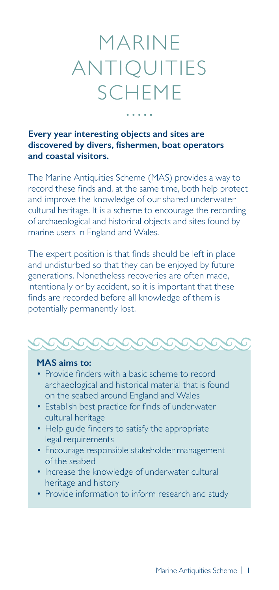### MARINE ANTIQUITIES SCHEME

#### **Every year interesting objects and sites are discovered by divers, fishermen, boat operators and coastal visitors.**

The Marine Antiquities Scheme (MAS) provides a way to record these finds and, at the same time, both help protect and improve the knowledge of our shared underwater cultural heritage. It is a scheme to encourage the recording of archaeological and historical objects and sites found by marine users in England and Wales.

The expert position is that finds should be left in place and undisturbed so that they can be enjoyed by future generations. Nonetheless recoveries are often made, intentionally or by accident, so it is important that these finds are recorded before all knowledge of them is potentially permanently lost.



#### **MAS aims to:**

- Provide finders with a basic scheme to record archaeological and historical material that is found on the seabed around England and Wales
- Establish best practice for finds of underwater cultural heritage
- Help guide finders to satisfy the appropriate legal requirements
- Encourage responsible stakeholder management of the seabed
- Increase the knowledge of underwater cultural heritage and history
- Provide information to inform research and study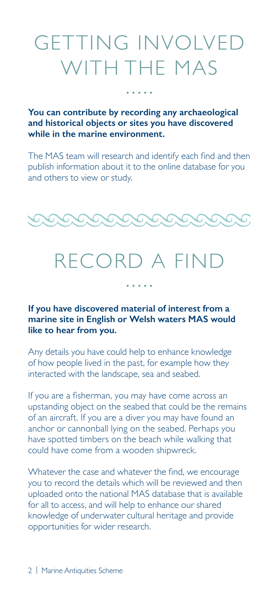### GETTING INVOLVED WITH THE MAS

**You can contribute by recording any archaeological and historical objects or sites you have discovered while in the marine environment.** 

The MAS team will research and identify each find and then publish information about it to the online database for you and others to view or study.



### RECORD A FIND

 $\frac{1}{2} \left( \frac{1}{2} \right) \left( \frac{1}{2} \right) \left( \frac{1}{2} \right) \left( \frac{1}{2} \right) \left( \frac{1}{2} \right)$ 

**If you have discovered material of interest from a marine site in English or Welsh waters MAS would like to hear from you.** 

Any details you have could help to enhance knowledge of how people lived in the past, for example how they interacted with the landscape, sea and seabed.

If you are a fisherman, you may have come across an upstanding object on the seabed that could be the remains of an aircraft. If you are a diver you may have found an anchor or cannonball lying on the seabed. Perhaps you have spotted timbers on the beach while walking that could have come from a wooden shipwreck.

Whatever the case and whatever the find, we encourage you to record the details which will be reviewed and then uploaded onto the national MAS database that is available for all to access, and will help to enhance our shared knowledge of underwater cultural heritage and provide opportunities for wider research.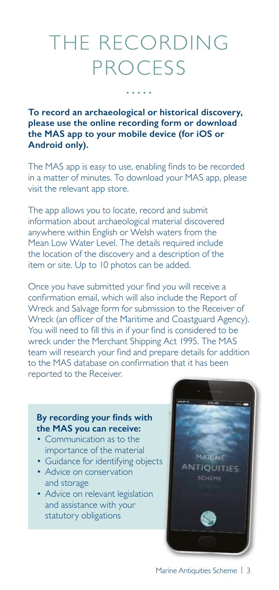### THE RECORDING PROCESS

**To record an archaeological or historical discovery, please use the online recording form or download the MAS app to your mobile device (for iOS or Android only).** 

The MAS app is easy to use, enabling finds to be recorded in a matter of minutes. To download your MAS app, please visit the relevant app store.

The app allows you to locate, record and submit information about archaeological material discovered anywhere within English or Welsh waters from the Mean Low Water Level. The details required include the location of the discovery and a description of the item or site. Up to 10 photos can be added.

Once you have submitted your find you will receive a confirmation email, which will also include the Report of Wreck and Salvage form for submission to the Receiver of Wreck (an officer of the Maritime and Coastguard Agency). You will need to fill this in if your find is considered to be wreck under the Merchant Shipping Act 1995. The MAS team will research your find and prepare details for addition to the MAS database on confirmation that it has been reported to the Receiver.

#### **By recording your finds with the MAS you can receive:**

- Communication as to the importance of the material
- Guidance for identifying objects
- Advice on conservation and storage
- Advice on relevant legislation and assistance with your statutory obligations

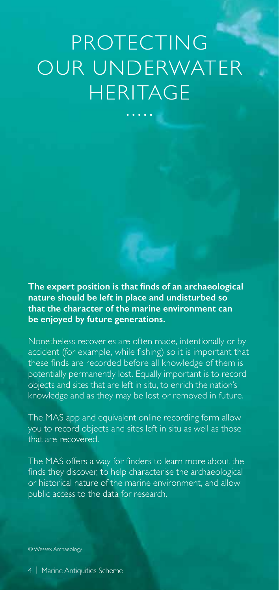## PROTECTING OUR UNDERWATER **HERITAGE**

**The expert position is that finds of an archaeological nature should be left in place and undisturbed so that the character of the marine environment can be enjoyed by future generations.** 

Nonetheless recoveries are often made, intentionally or by accident (for example, while fishing) so it is important that these finds are recorded before all knowledge of them is potentially permanently lost. Equally important is to record objects and sites that are left in situ, to enrich the nation's knowledge and as they may be lost or removed in future.

The MAS app and equivalent online recording form allow you to record objects and sites left in situ as well as those that are recovered.

The MAS offers a way for finders to learn more about the finds they discover, to help characterise the archaeological or historical nature of the marine environment, and allow public access to the data for research.

© Wessex Archaeology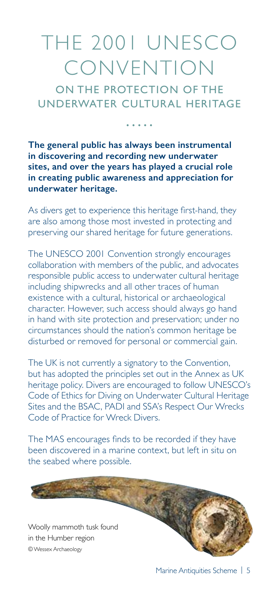### THE 2001 UNESCO CONVENTION

ON THE PROTECTION OF THE UNDERWATER CULTURAL HERITAGE

**The general public has always been instrumental in discovering and recording new underwater sites, and over the years has played a crucial role in creating public awareness and appreciation for underwater heritage.** 

As divers get to experience this heritage first-hand, they are also among those most invested in protecting and preserving our shared heritage for future generations.

The UNESCO 2001 Convention strongly encourages collaboration with members of the public, and advocates responsible public access to underwater cultural heritage including shipwrecks and all other traces of human existence with a cultural, historical or archaeological character. However, such access should always go hand in hand with site protection and preservation; under no circumstances should the nation's common heritage be disturbed or removed for personal or commercial gain.

The UK is not currently a signatory to the Convention, but has adopted the principles set out in the Annex as UK heritage policy. Divers are encouraged to follow UNESCO's Code of Ethics for Diving on Underwater Cultural Heritage Sites and the BSAC, PADI and SSA's Respect Our Wrecks Code of Practice for Wreck Divers.

The MAS encourages finds to be recorded if they have been discovered in a marine context, but left in situ on the seabed where possible.

© Wessex Archaeology Woolly mammoth tusk found in the Humber region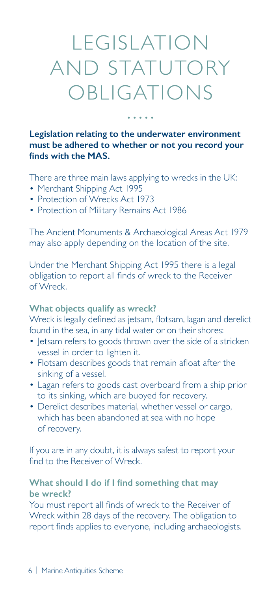### LEGISLATION AND STATUTORY OBLIGATIONS

لأنفر لأنباه

**Legislation relating to the underwater environment must be adhered to whether or not you record your finds with the MAS.** 

There are three main laws applying to wrecks in the UK:

- Merchant Shipping Act 1995
- Protection of Wrecks Act 1973
- Protection of Military Remains Act 1986

The Ancient Monuments & Archaeological Areas Act 1979 may also apply depending on the location of the site.

Under the Merchant Shipping Act 1995 there is a legal obligation to report all finds of wreck to the Receiver of Wreck.

#### **What objects qualify as wreck?**

Wreck is legally defined as jetsam, flotsam, lagan and derelict found in the sea, in any tidal water or on their shores:

- letsam refers to goods thrown over the side of a stricken vessel in order to lighten it.
- Flotsam describes goods that remain afloat after the sinking of a vessel.
- Lagan refers to goods cast overboard from a ship prior to its sinking, which are buoyed for recovery.
- Derelict describes material, whether vessel or cargo, which has been abandoned at sea with no hope of recovery.

If you are in any doubt, it is always safest to report your find to the Receiver of Wreck.

#### **What should I do if I find something that may be wreck?**

You must report all finds of wreck to the Receiver of Wreck within 28 days of the recovery. The obligation to report finds applies to everyone, including archaeologists.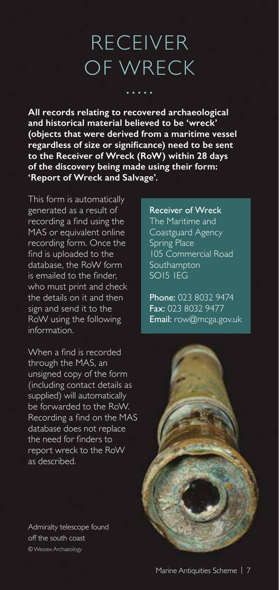### RECEIVER OF WRECK

**All records relating to recovered archaeological and historical material believed to be 'wreck' (objects that were derived from a maritime vessel regardless of size or significance) need to be sent to the Receiver of Wreck (RoW) within 28 days of the discovery being made using their form: 'Report of Wreck and Salvage'.** 

This form is automatically generated as a result of recording a find using the MAS or equivalent online recording form. Once the find is uploaded to the database, the RoW form is emailed to the finder, who must print and check the details on it and then sign and send it to the RoW using the following information.

When a find is recorded through the MAS, an unsigned copy of the form (including contact details as supplied) will automatically be forwarded to the RoW. Recording a find on the MAS database does not replace the need for finders to report wreck to the RoW as described.

Admiralty telescope found off the south coast © Wessex Archaeology

Receiver of Wreck The Maritime and Coastguard Agency Spring Place 105 Commercial Road Southampton SO15 1EG

Phone: 023 8032 9474 Fax: 023 8032 9477 Email: row@mcga.gov.uk

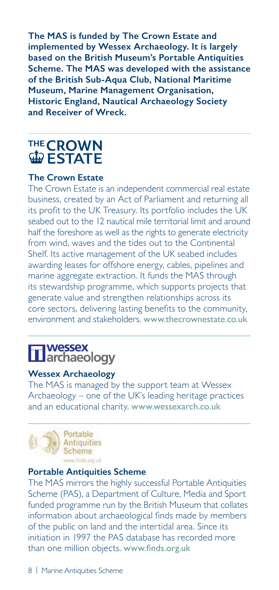**The MAS is funded by The Crown Estate and implemented by Wessex Archaeology. It is largely based on the British Museum's Portable Antiquities Scheme. The MAS was developed with the assistance of the British Sub-Aqua Club, National Maritime Museum, Marine Management Organisation, Historic England, Nautical Archaeology Society and Receiver of Wreck.**

## **THE CROWN**<br>W ESTATE

#### **The Crown Estate**

The Crown Estate is an independent commercial real estate business, created by an Act of Parliament and returning all its profit to the UK Treasury. Its portfolio includes the UK seabed out to the 12 nautical mile territorial limit and around half the foreshore as well as the rights to generate electricity from wind, waves and the tides out to the Continental Shelf. Its active management of the UK seabed includes awarding leases for offshore energy, cables, pipelines and marine aggregate extraction. It funds the MAS through its stewardship programme, which supports projects that generate value and strengthen relationships across its core sectors, delivering lasting benefits to the community, environment and stakeholders. www.thecrownestate.co.uk

### **Twessex<br>Larchaeology**

#### **Wessex Archaeology**

The MAS is managed by the support team at Wessex Archaeology – one of the UK's leading heritage practices and an educational charity. www.wessexarch.co.uk



#### **Portable Antiquities Scheme**

The MAS mirrors the highly successful Portable Antiquities Scheme (PAS), a Department of Culture, Media and Sport funded programme run by the British Museum that collates information about archaeological finds made by members of the public on land and the intertidal area. Since its initiation in 1997 the PAS database has recorded more than one million objects. www.finds.org.uk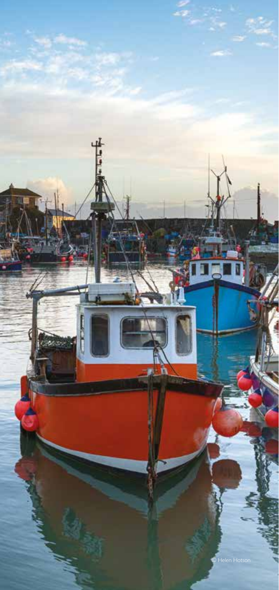